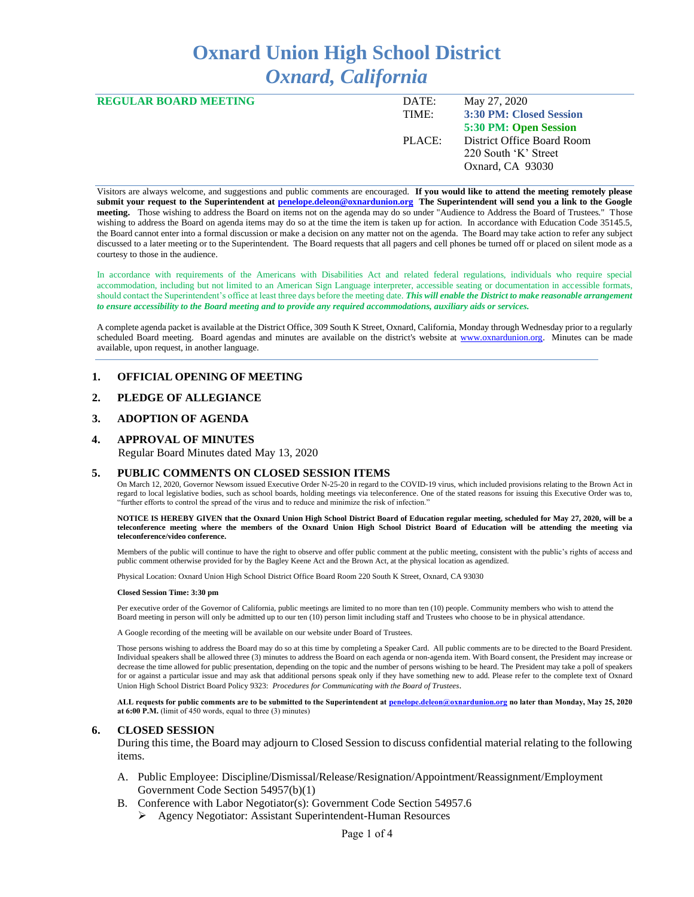# **Oxnard Union High School District** *Oxnard, California*

| <b>REGULAR BOARD MEETING</b> | DATE:  | May 27, 2020               |
|------------------------------|--------|----------------------------|
|                              | TIME:  | 3:30 PM: Closed Session    |
|                              |        | 5:30 PM: Open Session      |
|                              | PLACE: | District Office Board Room |
|                              |        | 220 South 'K' Street       |
|                              |        | Oxnard, CA 93030           |
|                              |        |                            |

Visitors are always welcome, and suggestions and public comments are encouraged. **If you would like to attend the meeting remotely please submit your request to the Superintendent at [penelope.deleon@oxnardunion.org](mailto:penelope.deleon@oxnardunion.org) The Superintendent will send you a link to the Google meeting.** Those wishing to address the Board on items not on the agenda may do so under "Audience to Address the Board of Trustees." Those wishing to address the Board on agenda items may do so at the time the item is taken up for action. In accordance with Education Code 35145.5, the Board cannot enter into a formal discussion or make a decision on any matter not on the agenda. The Board may take action to refer any subject discussed to a later meeting or to the Superintendent. The Board requests that all pagers and cell phones be turned off or placed on silent mode as a courtesy to those in the audience.

In accordance with requirements of the Americans with Disabilities Act and related federal regulations, individuals who require special accommodation, including but not limited to an American Sign Language interpreter, accessible seating or documentation in accessible formats, should contact the Superintendent's office at least three days before the meeting date. *This will enable the District to make reasonable arrangement to ensure accessibility to the Board meeting and to provide any required accommodations, auxiliary aids or services.*

A complete agenda packet is available at the District Office, 309 South K Street, Oxnard, California, Monday through Wednesday prior to a regularly scheduled Board meeting. Board agendas and minutes are available on the district's website at [www.ox](http://www.o/)nardunion.org. Minutes can be made available, upon request, in another language.

## **1. OFFICIAL OPENING OF MEETING**

## **2. PLEDGE OF ALLEGIANCE**

### **3. ADOPTION OF AGENDA**

### **4. APPROVAL OF MINUTES**

Regular Board Minutes dated May 13, 2020

#### **5. PUBLIC COMMENTS ON CLOSED SESSION ITEMS**

On March 12, 2020, Governor Newsom issued Executive Order N-25-20 in regard to the COVID-19 virus, which included provisions relating to the Brown Act in regard to local legislative bodies, such as school boards, holding meetings via teleconference. One of the stated reasons for issuing this Executive Order was to, "further efforts to control the spread of the virus and to reduce and minimize the risk of infection."

#### **NOTICE IS HEREBY GIVEN that the Oxnard Union High School District Board of Education regular meeting, scheduled for May 27, 2020, will be a teleconference meeting where the members of the Oxnard Union High School District Board of Education will be attending the meeting via teleconference/video conference.**

Members of the public will continue to have the right to observe and offer public comment at the public meeting, consistent with the public's rights of access and public comment otherwise provided for by the Bagley Keene Act and the Brown Act, at the physical location as agendized.

Physical Location: Oxnard Union High School District Office Board Room 220 South K Street, Oxnard, CA 93030

#### **Closed Session Time: 3:30 pm**

Per executive order of the Governor of California, public meetings are limited to no more than ten (10) people. Community members who wish to attend the Board meeting in person will only be admitted up to our ten (10) person limit including staff and Trustees who choose to be in physical attendance.

A Google recording of the meeting will be available on our website under Board of Trustees.

Those persons wishing to address the Board may do so at this time by completing a Speaker Card. All public comments are to be directed to the Board President. Individual speakers shall be allowed three (3) minutes to address the Board on each agenda or non-agenda item. With Board consent, the President may increase or decrease the time allowed for public presentation, depending on the topic and the number of persons wishing to be heard. The President may take a poll of speakers for or against a particular issue and may ask that additional persons speak only if they have something new to add. Please refer to the complete text of Oxnard Union High School District Board Policy 9323: *Procedures for Communicating with the Board of Trustees*.

**ALL requests for public comments are to be submitted to the Superintendent at [penelope.deleon@oxnardunion.org](mailto:penelope.deleon@oxnardunion.org.%20no) no later than Monday, May 25, 2020 at 6:00 P.M.** (limit of 450 words, equal to three (3) minutes)

#### **6. CLOSED SESSION**

During this time, the Board may adjourn to Closed Session to discuss confidential material relating to the following items.

- A. Public Employee: Discipline/Dismissal/Release/Resignation/Appointment/Reassignment/Employment Government Code Section 54957(b)(1)
- B. Conference with Labor Negotiator(s): Government Code Section 54957.6
	- ➢ Agency Negotiator: Assistant Superintendent-Human Resources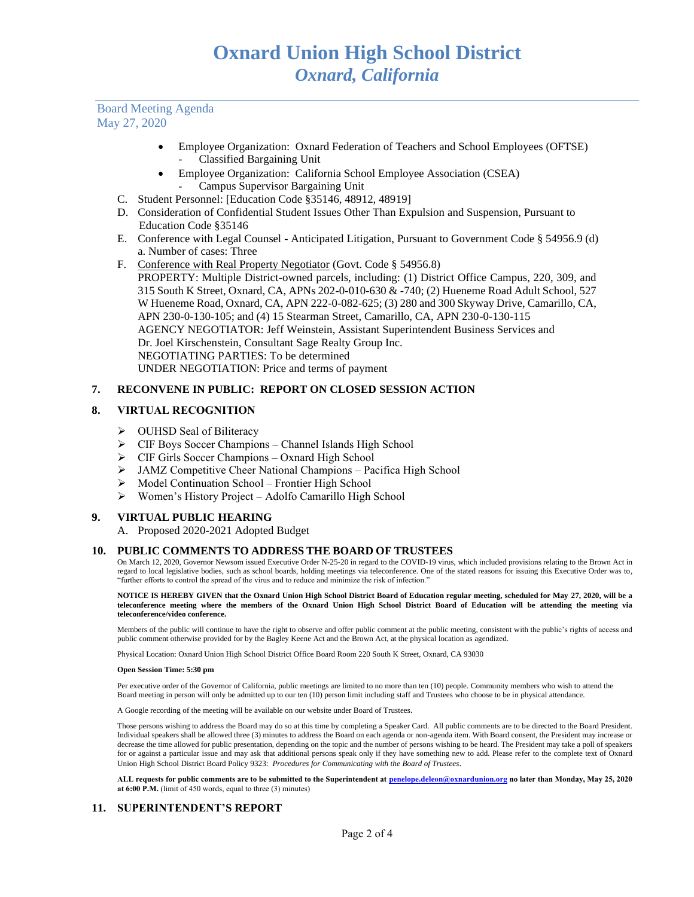Board Meeting Agenda May 27, 2020

- Employee Organization: Oxnard Federation of Teachers and School Employees (OFTSE) - Classified Bargaining Unit
- Employee Organization: California School Employee Association (CSEA) - Campus Supervisor Bargaining Unit
- C. Student Personnel: [Education Code §35146, 48912, 48919]
- D. Consideration of Confidential Student Issues Other Than Expulsion and Suspension, Pursuant to Education Code §35146
- E. Conference with Legal Counsel Anticipated Litigation, Pursuant to Government Code § 54956.9 (d) a. Number of cases: Three
- F. Conference with Real Property Negotiator (Govt. Code § 54956.8) PROPERTY: Multiple District-owned parcels, including: (1) District Office Campus, 220, 309, and 315 South K Street, Oxnard, CA, APNs 202-0-010-630 & -740; (2) Hueneme Road Adult School, 527 W Hueneme Road, Oxnard, CA, APN 222-0-082-625; (3) 280 and 300 Skyway Drive, Camarillo, CA, APN 230-0-130-105; and (4) 15 Stearman Street, Camarillo, CA, APN 230-0-130-115 AGENCY NEGOTIATOR: Jeff Weinstein, Assistant Superintendent Business Services and Dr. Joel Kirschenstein, Consultant Sage Realty Group Inc. NEGOTIATING PARTIES: To be determined UNDER NEGOTIATION: Price and terms of payment

## **7. RECONVENE IN PUBLIC: REPORT ON CLOSED SESSION ACTION**

## **8. VIRTUAL RECOGNITION**

- ➢ OUHSD Seal of Biliteracy
- ➢ CIF Boys Soccer Champions Channel Islands High School
- ➢ CIF Girls Soccer Champions Oxnard High School
- ➢ JAMZ Competitive Cheer National Champions Pacifica High School
- ➢ Model Continuation School Frontier High School
- ➢ Women's History Project Adolfo Camarillo High School

## **9. VIRTUAL PUBLIC HEARING**

A. Proposed 2020-2021 Adopted Budget

## **10. PUBLIC COMMENTS TO ADDRESS THE BOARD OF TRUSTEES**

On March 12, 2020, Governor Newsom issued Executive Order N-25-20 in regard to the COVID-19 virus, which included provisions relating to the Brown Act in regard to local legislative bodies, such as school boards, holding meetings via teleconference. One of the stated reasons for issuing this Executive Order was to, "further efforts to control the spread of the virus and to reduce and minimize the risk of infection."

**NOTICE IS HEREBY GIVEN that the Oxnard Union High School District Board of Education regular meeting, scheduled for May 27, 2020, will be a teleconference meeting where the members of the Oxnard Union High School District Board of Education will be attending the meeting via teleconference/video conference.**

Members of the public will continue to have the right to observe and offer public comment at the public meeting, consistent with the public's rights of access and public comment otherwise provided for by the Bagley Keene Act and the Brown Act, at the physical location as agendized.

Physical Location: Oxnard Union High School District Office Board Room 220 South K Street, Oxnard, CA 93030

#### **Open Session Time: 5:30 pm**

Per executive order of the Governor of California, public meetings are limited to no more than ten (10) people. Community members who wish to attend the Board meeting in person will only be admitted up to our ten (10) person limit including staff and Trustees who choose to be in physical attendance.

A Google recording of the meeting will be available on our website under Board of Trustees.

Those persons wishing to address the Board may do so at this time by completing a Speaker Card. All public comments are to be directed to the Board President. Individual speakers shall be allowed three (3) minutes to address the Board on each agenda or non-agenda item. With Board consent, the President may increase or decrease the time allowed for public presentation, depending on the topic and the number of persons wishing to be heard. The President may take a poll of speakers for or against a particular issue and may ask that additional persons speak only if they have something new to add. Please refer to the complete text of Oxnard Union High School District Board Policy 9323: *Procedures for Communicating with the Board of Trustees*.

**ALL requests for public comments are to be submitted to the Superintendent at [penelope.deleon@oxnardunion.org](mailto:penelope.deleon@oxnardunion.org.%20no) no later than Monday, May 25, 2020 at 6:00 P.M.** (limit of 450 words, equal to three (3) minutes)

## **11. SUPERINTENDENT'S REPORT**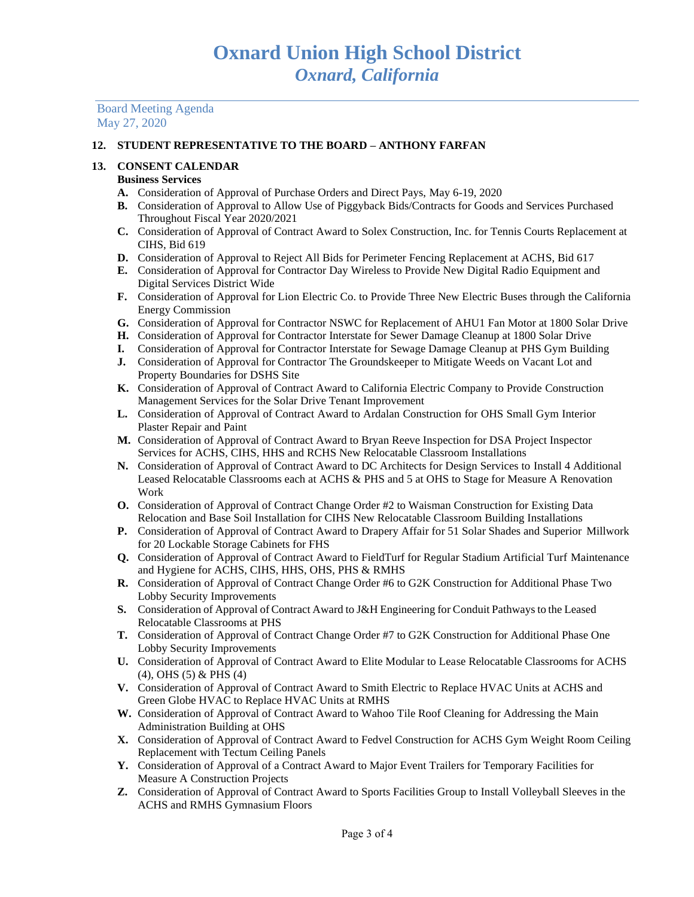Board Meeting Agenda May 27, 2020

## **12. STUDENT REPRESENTATIVE TO THE BOARD – ANTHONY FARFAN**

# **13. CONSENT CALENDAR**

# **Business Services**

- **A.** Consideration of Approval of Purchase Orders and Direct Pays, May 6-19, 2020
- **B.** Consideration of Approval to Allow Use of Piggyback Bids/Contracts for Goods and Services Purchased Throughout Fiscal Year 2020/2021
- **C.** Consideration of Approval of Contract Award to Solex Construction, Inc. for Tennis Courts Replacement at CIHS, Bid 619
- **D.** Consideration of Approval to Reject All Bids for Perimeter Fencing Replacement at ACHS, Bid 617
- **E.** Consideration of Approval for Contractor Day Wireless to Provide New Digital Radio Equipment and Digital Services District Wide
- **F.** Consideration of Approval for Lion Electric Co. to Provide Three New Electric Buses through the California Energy Commission
- **G.** Consideration of Approval for Contractor NSWC for Replacement of AHU1 Fan Motor at 1800 Solar Drive
- **H.** Consideration of Approval for Contractor Interstate for Sewer Damage Cleanup at 1800 Solar Drive
- **I.** Consideration of Approval for Contractor Interstate for Sewage Damage Cleanup at PHS Gym Building
- **J.** Consideration of Approval for Contractor The Groundskeeper to Mitigate Weeds on Vacant Lot and Property Boundaries for DSHS Site
- **K.** Consideration of Approval of Contract Award to California Electric Company to Provide Construction Management Services for the Solar Drive Tenant Improvement
- **L.** Consideration of Approval of Contract Award to Ardalan Construction for OHS Small Gym Interior Plaster Repair and Paint
- **M.** Consideration of Approval of Contract Award to Bryan Reeve Inspection for DSA Project Inspector Services for ACHS, CIHS, HHS and RCHS New Relocatable Classroom Installations
- **N.** Consideration of Approval of Contract Award to DC Architects for Design Services to Install 4 Additional Leased Relocatable Classrooms each at ACHS & PHS and 5 at OHS to Stage for Measure A Renovation Work
- **O.** Consideration of Approval of Contract Change Order #2 to Waisman Construction for Existing Data Relocation and Base Soil Installation for CIHS New Relocatable Classroom Building Installations
- **P.** Consideration of Approval of Contract Award to Drapery Affair for 51 Solar Shades and Superior Millwork for 20 Lockable Storage Cabinets for FHS
- **Q.** Consideration of Approval of Contract Award to FieldTurf for Regular Stadium Artificial Turf Maintenance and Hygiene for ACHS, CIHS, HHS, OHS, PHS & RMHS
- **R.** Consideration of Approval of Contract Change Order #6 to G2K Construction for Additional Phase Two Lobby Security Improvements
- **S.** Consideration of Approval of Contract Award to J&H Engineering for Conduit Pathways to the Leased Relocatable Classrooms at PHS
- **T.** Consideration of Approval of Contract Change Order #7 to G2K Construction for Additional Phase One Lobby Security Improvements
- **U.** Consideration of Approval of Contract Award to Elite Modular to Lease Relocatable Classrooms for ACHS (4), OHS (5) & PHS (4)
- **V.** Consideration of Approval of Contract Award to Smith Electric to Replace HVAC Units at ACHS and Green Globe HVAC to Replace HVAC Units at RMHS
- **W.** Consideration of Approval of Contract Award to Wahoo Tile Roof Cleaning for Addressing the Main Administration Building at OHS
- **X.** Consideration of Approval of Contract Award to Fedvel Construction for ACHS Gym Weight Room Ceiling Replacement with Tectum Ceiling Panels
- **Y.** Consideration of Approval of a Contract Award to Major Event Trailers for Temporary Facilities for Measure A Construction Projects
- **Z.** Consideration of Approval of Contract Award to Sports Facilities Group to Install Volleyball Sleeves in the ACHS and RMHS Gymnasium Floors